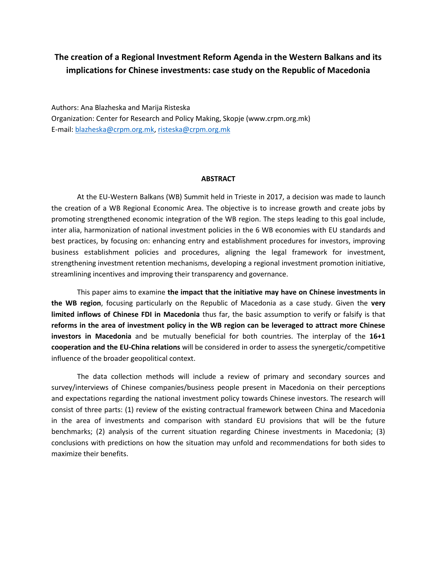# **The creation of a Regional Investment Reform Agenda in the Western Balkans and its implications for Chinese investments: case study on the Republic of Macedonia**

Authors: Ana Blazheska and Marija Risteska Organization: Center for Research and Policy Making, Skopje (www.crpm.org.mk) E-mail: [blazheska@crpm.org.mk,](mailto:blazheska@crpm.org.mk) [risteska@crpm.org.mk](mailto:risteska@crpm.org.mk)

#### **ABSTRACT**

At the EU-Western Balkans (WB) Summit held in Trieste in 2017, a decision was made to launch the creation of a WB Regional Economic Area. The objective is to increase growth and create jobs by promoting strengthened economic integration of the WB region. The steps leading to this goal include, inter alia, harmonization of national investment policies in the 6 WB economies with EU standards and best practices, by focusing on: enhancing entry and establishment procedures for investors, improving business establishment policies and procedures, aligning the legal framework for investment, strengthening investment retention mechanisms, developing a regional investment promotion initiative, streamlining incentives and improving their transparency and governance.

This paper aims to examine **the impact that the initiative may have on Chinese investments in the WB region**, focusing particularly on the Republic of Macedonia as a case study. Given the **very limited inflows of Chinese FDI in Macedonia** thus far, the basic assumption to verify or falsify is that **reforms in the area of investment policy in the WB region can be leveraged to attract more Chinese investors in Macedonia** and be mutually beneficial for both countries. The interplay of the **16+1 cooperation and the EU-China relations** will be considered in order to assess the synergetic/competitive influence of the broader geopolitical context.

The data collection methods will include a review of primary and secondary sources and survey/interviews of Chinese companies/business people present in Macedonia on their perceptions and expectations regarding the national investment policy towards Chinese investors. The research will consist of three parts: (1) review of the existing contractual framework between China and Macedonia in the area of investments and comparison with standard EU provisions that will be the future benchmarks; (2) analysis of the current situation regarding Chinese investments in Macedonia; (3) conclusions with predictions on how the situation may unfold and recommendations for both sides to maximize their benefits.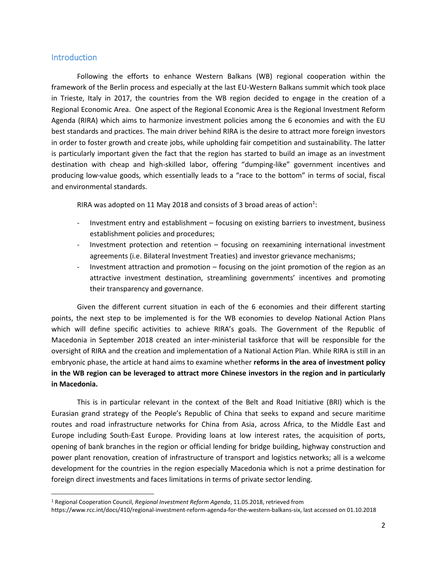### Introduction

 $\overline{\phantom{a}}$ 

Following the efforts to enhance Western Balkans (WB) regional cooperation within the framework of the Berlin process and especially at the last EU-Western Balkans summit which took place in Trieste, Italy in 2017, the countries from the WB region decided to engage in the creation of a Regional Economic Area. One aspect of the Regional Economic Area is the Regional Investment Reform Agenda (RIRA) which aims to harmonize investment policies among the 6 economies and with the EU best standards and practices. The main driver behind RIRA is the desire to attract more foreign investors in order to foster growth and create jobs, while upholding fair competition and sustainability. The latter is particularly important given the fact that the region has started to build an image as an investment destination with cheap and high-skilled labor, offering "dumping-like" government incentives and producing low-value goods, which essentially leads to a "race to the bottom" in terms of social, fiscal and environmental standards.

RIRA was adopted on 11 May 2018 and consists of 3 broad areas of action<sup>1</sup>:

- Investment entry and establishment focusing on existing barriers to investment, business establishment policies and procedures;
- Investment protection and retention focusing on reexamining international investment agreements (i.e. Bilateral Investment Treaties) and investor grievance mechanisms;
- Investment attraction and promotion focusing on the joint promotion of the region as an attractive investment destination, streamlining governments' incentives and promoting their transparency and governance.

Given the different current situation in each of the 6 economies and their different starting points, the next step to be implemented is for the WB economies to develop National Action Plans which will define specific activities to achieve RIRA's goals. The Government of the Republic of Macedonia in September 2018 created an inter-ministerial taskforce that will be responsible for the oversight of RIRA and the creation and implementation of a National Action Plan. While RIRA is still in an embryonic phase, the article at hand aims to examine whether **reforms in the area of investment policy in the WB region can be leveraged to attract more Chinese investors in the region and in particularly in Macedonia.**

This is in particular relevant in the context of the Belt and Road Initiative (BRI) which is the Eurasian grand strategy of the People's Republic of China that seeks to expand and secure maritime routes and road infrastructure networks for China from Asia, across Africa, to the Middle East and Europe including South-East Europe. Providing loans at low interest rates, the acquisition of ports, opening of bank branches in the region or official lending for bridge building, highway construction and power plant renovation, creation of infrastructure of transport and logistics networks; all is a welcome development for the countries in the region especially Macedonia which is not a prime destination for foreign direct investments and faces limitations in terms of private sector lending.

<sup>1</sup> Regional Cooperation Council, *Regional Investment Reform Agenda*, 11.05.2018, retrieved from

[https://www.rcc.int/docs/410/regional-investment-reform-agenda-for-the-western-balkans-six,](https://www.rcc.int/docs/410/regional-investment-reform-agenda-for-the-western-balkans-six) last accessed on 01.10.2018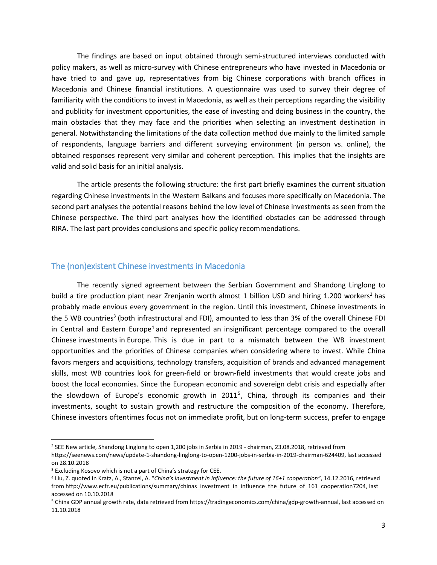The findings are based on input obtained through semi-structured interviews conducted with policy makers, as well as micro-survey with Chinese entrepreneurs who have invested in Macedonia or have tried to and gave up, representatives from big Chinese corporations with branch offices in Macedonia and Chinese financial institutions. A questionnaire was used to survey their degree of familiarity with the conditions to invest in Macedonia, as well as their perceptions regarding the visibility and publicity for investment opportunities, the ease of investing and doing business in the country, the main obstacles that they may face and the priorities when selecting an investment destination in general. Notwithstanding the limitations of the data collection method due mainly to the limited sample of respondents, language barriers and different surveying environment (in person vs. online), the obtained responses represent very similar and coherent perception. This implies that the insights are valid and solid basis for an initial analysis.

The article presents the following structure: the first part briefly examines the current situation regarding Chinese investments in the Western Balkans and focuses more specifically on Macedonia. The second part analyses the potential reasons behind the low level of Chinese investments as seen from the Chinese perspective. The third part analyses how the identified obstacles can be addressed through RIRA. The last part provides conclusions and specific policy recommendations.

### The (non)existent Chinese investments in Macedonia

The recently signed agreement between the Serbian Government and Shandong Linglong to build a tire production plant near Zrenjanin worth almost 1 billion USD and hiring 1.200 workers<sup>2</sup> has probably made envious every government in the region. Until this investment, Chinese investments in the 5 WB countries<sup>3</sup> (both infrastructural and FDI), amounted to less than 3% of the overall Chinese FDI in Central and Eastern Europe<sup>4</sup> and represented an insignificant percentage compared to the overall Chinese investments in Europe. This is due in part to a mismatch between the WB investment opportunities and the priorities of Chinese companies when considering where to invest. While China favors mergers and acquisitions, technology transfers, acquisition of brands and advanced management skills, most WB countries look for green-field or brown-field investments that would create jobs and boost the local economies. Since the European economic and sovereign debt crisis and especially after the slowdown of Europe's economic growth in 2011<sup>5</sup>, China, through its companies and their investments, sought to sustain growth and restructure the composition of the economy. Therefore, Chinese investors oftentimes focus not on immediate profit, but on long-term success, prefer to engage

 $\overline{\phantom{a}}$ 

<sup>2</sup> SEE New article, Shandong Linglong to open 1,200 jobs in Serbia in 2019 - chairman, 23.08.2018, retrieved from [https://seenews.com/news/update-1-shandong-linglong-to-open-1200-jobs-in-serbia-in-2019-chairman-624409,](https://seenews.com/news/update-1-shandong-linglong-to-open-1200-jobs-in-serbia-in-2019-chairman-624409) last accessed on 28.10.2018

<sup>&</sup>lt;sup>3</sup> Excluding Kosovo which is not a part of China's strategy for CEE.

<sup>4</sup> Liu, Z. quoted in Kratz, A., Stanzel, A. "*China's investment in influence: the future of 16+1 cooperation"*, 14.12.2016, retrieved from [http://www.ecfr.eu/publications/summary/chinas\\_investment\\_in\\_influence\\_the\\_future\\_of\\_161\\_cooperation7204,](http://www.ecfr.eu/publications/summary/chinas_investment_in_influence_the_future_of_161_cooperation7204) last accessed on 10.10.2018

<sup>5</sup> China GDP annual growth rate, data retrieved from [https://tradingeconomics.com/china/gdp-growth-annual,](https://tradingeconomics.com/china/gdp-growth-annual) last accessed on 11.10.2018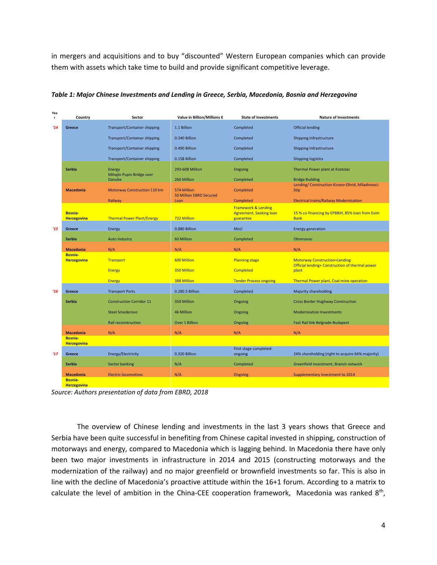in mergers and acquisitions and to buy "discounted" Western European companies which can provide them with assets which take time to build and provide significant competitive leverage.

| Yea<br>r      | Country                              | Sector                              | Value in Billion/Millions €                   | <b>State of Investments</b>                                                   | <b>Nature of Investments</b>                                                            |
|---------------|--------------------------------------|-------------------------------------|-----------------------------------------------|-------------------------------------------------------------------------------|-----------------------------------------------------------------------------------------|
| $^{\prime}14$ | Greece                               | <b>Transport/Container shipping</b> | 1.1 Billion                                   | Completed                                                                     | <b>Official lending</b>                                                                 |
|               |                                      | <b>Transport/Container shipping</b> | 0.340 Billion                                 | Completed                                                                     | Shipping Infrastructure                                                                 |
|               |                                      | <b>Transport/Container shipping</b> | 0.490 Billion                                 | Completed                                                                     | Shipping Infrastructure                                                                 |
|               |                                      | <b>Transport/Container shipping</b> | 0.158 Billion                                 | Completed                                                                     | <b>Shipping logistics</b>                                                               |
|               | <b>Serbia</b>                        | Energy<br>Mihajlo Pupin Bridge over | 293-608 Million                               | Ongoing                                                                       | Thermal Power plant at Kostolac                                                         |
|               |                                      | Danube                              | 260 Million                                   | Completed                                                                     | <b>Bridge Building</b><br>Lending/ Construction Kicevo-Ohrid, Miladinovci-              |
|               | <b>Macedonia</b>                     | Motorway Construction 110 km        | 574 Million<br><b>50 Million EBRD Secured</b> | Completed                                                                     | <b>Stip</b>                                                                             |
|               |                                      | Railway                             | Loan                                          | Completed                                                                     | <b>Electrical trains/Railway Modernisation</b>                                          |
|               | <b>Bosnia-</b><br><b>Herzegovina</b> | <b>Thermal Power Plant/Energy</b>   | 722 Million                                   | <b>Framework &amp; Lending</b><br><b>Agreement, Seeking loan</b><br>guarantee | 15 % co-financing by EPBBiH, 85% loan from Exim<br><b>Bank</b>                          |
| 15            | Greece                               | Energy                              | 0.880 Billion                                 | MoU                                                                           | <b>Energy generation</b>                                                                |
|               | Serbia                               | <b>Auto Industry</b>                | 60 Million                                    | Completed                                                                     | Obrenovac                                                                               |
|               | <b>Macedonia</b>                     | N/A                                 | N/A                                           | N/A                                                                           | N/A                                                                                     |
|               | <b>Bosnia-</b><br><b>Herzegovina</b> | Transport                           | 600 Million                                   | <b>Planning stage</b>                                                         | <b>Motorway Construction+Lending</b><br>Official lending+ Construction of thermal power |
|               |                                      | <b>Energy</b>                       | 350 Million                                   | <b>Completed</b>                                                              | plant                                                                                   |
|               |                                      | <b>Energy</b>                       | 388 Million                                   | <b>Tender Process ongoing</b>                                                 | Thermal Power plant, Coal mine operation                                                |
| 16            | Greece                               | <b>Transport Ports</b>              | 0.280.5 Billion                               | Completed                                                                     | Majority shareholding                                                                   |
|               | Serbia                               | <b>Construction Corridor 11</b>     | 350 Million                                   | Ongoing                                                                       | <b>Cross Border Hughway Construction</b>                                                |
|               |                                      | <b>Steel Smederovo</b>              | 46 Million                                    | Ongoing                                                                       | <b>Modernisation Investments</b>                                                        |
|               |                                      | Rail reconstruction                 | Over 1 Billion                                | Ongoing                                                                       | Fast Rail link Belgrade-Budapest                                                        |
|               | <b>Macedonia</b>                     | N/A                                 | N/A                                           | N/A                                                                           | N/A                                                                                     |
|               | <b>Bosnia-</b><br><b>Herzegovina</b> |                                     |                                               |                                                                               |                                                                                         |
| 17            | <b>Greece</b>                        | Energy/Electricity                  | 0.320 Billion                                 | First stage completed-<br>ongoing                                             | 24% shareholding (right to acquire 66% majority)                                        |
|               |                                      |                                     |                                               |                                                                               |                                                                                         |
|               | Serbia                               | <b>Sector banking</b>               | N/A                                           | Completed                                                                     | Greenfield investment, Branch network                                                   |
|               | <b>Macedonia</b>                     | <b>Electric locomotives</b>         | N/A                                           | Ongoing                                                                       | Supplementary investment to 2014                                                        |
|               | <b>Bosnia-</b><br><b>Herzegovina</b> |                                     |                                               |                                                                               |                                                                                         |

*Table 1: Major Chinese Investments and Lending in Greece, Serbia, Macedonia, Bosnia and Herzegovina*

*Source: Authors presentation of data from EBRD, 2018* 

The overview of Chinese lending and investments in the last 3 years shows that Greece and Serbia have been quite successful in benefiting from Chinese capital invested in shipping, construction of motorways and energy, compared to Macedonia which is lagging behind. In Macedonia there have only been two major investments in infrastructure in 2014 and 2015 (constructing motorways and the modernization of the railway) and no major greenfield or brownfield investments so far. This is also in line with the decline of Macedonia's proactive attitude within the 16+1 forum. According to a matrix to calculate the level of ambition in the China-CEE cooperation framework, Macedonia was ranked 8<sup>th</sup>,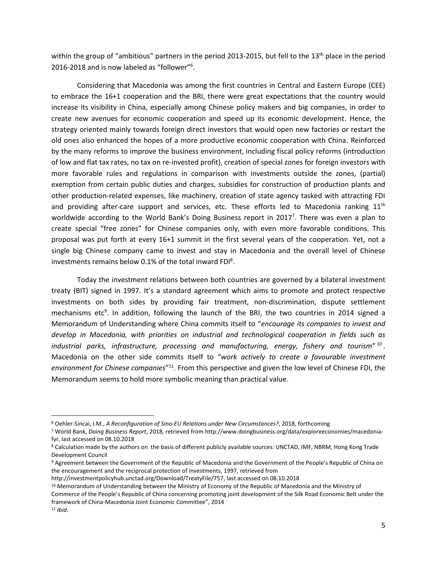within the group of "ambitious" partners in the period 2013-2015, but fell to the 13<sup>th</sup> place in the period 2016-2018 and is now labeled as "follower"<sup>6</sup> .

Considering that Macedonia was among the first countries in Central and Eastern Europe (CEE) to embrace the 16+1 cooperation and the BRI, there were great expectations that the country would increase its visibility in China, especially among Chinese policy makers and big companies, in order to create new avenues for economic cooperation and speed up its economic development. Hence, the strategy oriented mainly towards foreign direct investors that would open new factories or restart the old ones also enhanced the hopes of a more productive economic cooperation with China. Reinforced by the many reforms to improve the business environment, including fiscal policy reforms (introduction of low and flat tax rates, no tax on re-invested profit), creation of special zones for foreign investors with more favorable rules and regulations in comparison with investments outside the zones, (partial) exemption from certain public duties and charges, subsidies for construction of production plants and other production-related expenses, like machinery, creation of state agency tasked with attracting FDI and providing after-care support and services, etc. These efforts led to Macedonia ranking  $11<sup>th</sup>$ worldwide according to the World Bank's Doing Business report in 2017<sup>7</sup>. There was even a plan to create special "free zones" for Chinese companies only, with even more favorable conditions. This proposal was put forth at every 16+1 summit in the first several years of the cooperation. Yet, not a single big Chinese company came to invest and stay in Macedonia and the overall level of Chinese investments remains below 0.1% of the total inward FDI<sup>8</sup>.

Today the investment relations between both countries are governed by a bilateral investment treaty (BIT) signed in 1997. It's a standard agreement which aims to promote and protect respective investments on both sides by providing fair treatment, non-discrimination, dispute settlement mechanisms etc<sup>9</sup>. In addition, following the launch of the BRI, the two countries in 2014 signed a Memorandum of Understanding where China commits itself to "*encourage its companies to invest and develop in Macedonia, with priorities on industrial and technological cooperation in fields such as industrial parks, infrastructure, processing and manufacturing, energy, fishery and tourism*" 10 . Macedonia on the other side commits itself to "*work actively to create a favourable investment*  environment for Chinese companies<sup>"11</sup>. From this perspective and given the low level of Chinese FDI, the Memorandum seems to hold more symbolic meaning than practical value.

 $\overline{\phantom{a}}$ 

<sup>6</sup> Oehler-Sincai, I.M., *A Reconfiguration of Sino-EU Relations under New Circumstances?*, 2018, forthcoming

<sup>7</sup> World Bank, *Doing Business Report*, 2018, retrieved fro[m http://www.doingbusiness.org/data/exploreeconomies/macedonia](http://www.doingbusiness.org/data/exploreeconomies/macedonia-fyr)[fyr,](http://www.doingbusiness.org/data/exploreeconomies/macedonia-fyr) last accessed on 08.10.2018

<sup>8</sup> Calculation made by the authors on the basis of different publicly available sources: UNCTAD, IMF, NBRM, Hong Kong Trade Development Council

<sup>9</sup> Agreement between the Government of the Republic of Macedonia and the Government of the People's Republic of China on the encouragement and the reciprocal protection of investments, 1997, retrieved from

[http://investmentpolicyhub.unctad.org/Download/TreatyFile/757,](http://investmentpolicyhub.unctad.org/Download/TreatyFile/757) last accessed on 08.10.2018

<sup>10</sup> Memorandum of Understanding between the Ministry of Economy of the Republic of Macedonia and the Ministry of Commerce of the People's Republic of China concerning promoting joint development of the Silk Road Economic Belt under the framework of China-Macedonia Joint Economic Committee", 2014

<sup>11</sup> *Ibid*.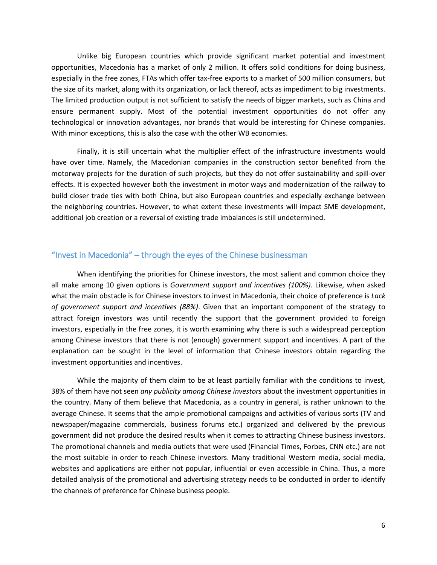Unlike big European countries which provide significant market potential and investment opportunities, Macedonia has a market of only 2 million. It offers solid conditions for doing business, especially in the free zones, FTAs which offer tax-free exports to a market of 500 million consumers, but the size of its market, along with its organization, or lack thereof, acts as impediment to big investments. The limited production output is not sufficient to satisfy the needs of bigger markets, such as China and ensure permanent supply. Most of the potential investment opportunities do not offer any technological or innovation advantages, nor brands that would be interesting for Chinese companies. With minor exceptions, this is also the case with the other WB economies.

Finally, it is still uncertain what the multiplier effect of the infrastructure investments would have over time. Namely, the Macedonian companies in the construction sector benefited from the motorway projects for the duration of such projects, but they do not offer sustainability and spill-over effects. It is expected however both the investment in motor ways and modernization of the railway to build closer trade ties with both China, but also European countries and especially exchange between the neighboring countries. However, to what extent these investments will impact SME development, additional job creation or a reversal of existing trade imbalances is still undetermined.

## "Invest in Macedonia" – through the eyes of the Chinese businessman

When identifying the priorities for Chinese investors, the most salient and common choice they all make among 10 given options is *Government support and incentives (100%)*. Likewise, when asked what the main obstacle is for Chinese investors to invest in Macedonia, their choice of preference is *Lack of government support and incentives (88%)*. Given that an important component of the strategy to attract foreign investors was until recently the support that the government provided to foreign investors, especially in the free zones, it is worth examining why there is such a widespread perception among Chinese investors that there is not (enough) government support and incentives. A part of the explanation can be sought in the level of information that Chinese investors obtain regarding the investment opportunities and incentives.

While the majority of them claim to be at least partially familiar with the conditions to invest, 38% of them have not seen *any publicity among Chinese investors* about the investment opportunities in the country. Many of them believe that Macedonia, as a country in general, is rather unknown to the average Chinese. It seems that the ample promotional campaigns and activities of various sorts (TV and newspaper/magazine commercials, business forums etc.) organized and delivered by the previous government did not produce the desired results when it comes to attracting Chinese business investors. The promotional channels and media outlets that were used (Financial Times, Forbes, CNN etc.) are not the most suitable in order to reach Chinese investors. Many traditional Western media, social media, websites and applications are either not popular, influential or even accessible in China. Thus, a more detailed analysis of the promotional and advertising strategy needs to be conducted in order to identify the channels of preference for Chinese business people.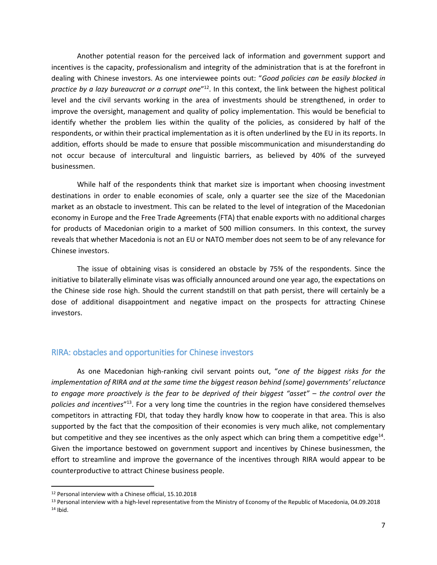Another potential reason for the perceived lack of information and government support and incentives is the capacity, professionalism and integrity of the administration that is at the forefront in dealing with Chinese investors. As one interviewee points out: "*Good policies can be easily blocked in*  practice by a lazy bureaucrat or a corrupt one<sup>"12</sup>. In this context, the link between the highest political level and the civil servants working in the area of investments should be strengthened, in order to improve the oversight, management and quality of policy implementation. This would be beneficial to identify whether the problem lies within the quality of the policies, as considered by half of the respondents, or within their practical implementation as it is often underlined by the EU in its reports. In addition, efforts should be made to ensure that possible miscommunication and misunderstanding do not occur because of intercultural and linguistic barriers, as believed by 40% of the surveyed businessmen.

While half of the respondents think that market size is important when choosing investment destinations in order to enable economies of scale, only a quarter see the size of the Macedonian market as an obstacle to investment. This can be related to the level of integration of the Macedonian economy in Europe and the Free Trade Agreements (FTA) that enable exports with no additional charges for products of Macedonian origin to a market of 500 million consumers. In this context, the survey reveals that whether Macedonia is not an EU or NATO member does not seem to be of any relevance for Chinese investors.

The issue of obtaining visas is considered an obstacle by 75% of the respondents. Since the initiative to bilaterally eliminate visas was officially announced around one year ago, the expectations on the Chinese side rose high. Should the current standstill on that path persist, there will certainly be a dose of additional disappointment and negative impact on the prospects for attracting Chinese investors.

#### RIRA: obstacles and opportunities for Chinese investors

As one Macedonian high-ranking civil servant points out, "*one of the biggest risks for the implementation of RIRA and at the same time the biggest reason behind (some) governments' reluctance to engage more proactively is the fear to be deprived of their biggest "asset" – the control over the policies and incentives*" <sup>13</sup>. For a very long time the countries in the region have considered themselves competitors in attracting FDI, that today they hardly know how to cooperate in that area. This is also supported by the fact that the composition of their economies is very much alike, not complementary but competitive and they see incentives as the only aspect which can bring them a competitive edge<sup>14</sup>. Given the importance bestowed on government support and incentives by Chinese businessmen, the effort to streamline and improve the governance of the incentives through RIRA would appear to be counterproductive to attract Chinese business people.

l

<sup>12</sup> Personal interview with a Chinese official, 15.10.2018

<sup>13</sup> Personal interview with a high-level representative from the Ministry of Economy of the Republic of Macedonia, 04.09.2018 <sup>14</sup> Ibid.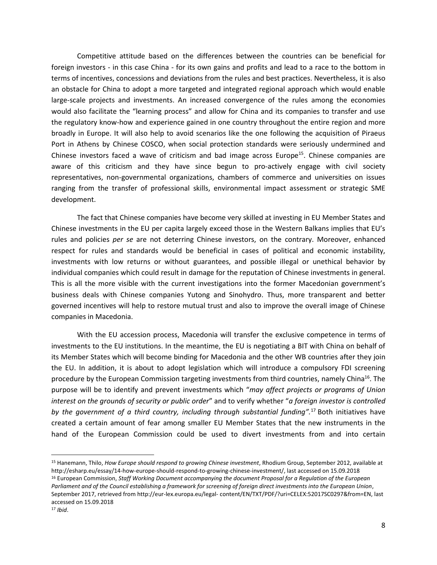Competitive attitude based on the differences between the countries can be beneficial for foreign investors - in this case China - for its own gains and profits and lead to a race to the bottom in terms of incentives, concessions and deviations from the rules and best practices. Nevertheless, it is also an obstacle for China to adopt a more targeted and integrated regional approach which would enable large-scale projects and investments. An increased convergence of the rules among the economies would also facilitate the "learning process" and allow for China and its companies to transfer and use the regulatory know-how and experience gained in one country throughout the entire region and more broadly in Europe. It will also help to avoid scenarios like the one following the acquisition of Piraeus Port in Athens by Chinese COSCO, when social protection standards were seriously undermined and Chinese investors faced a wave of criticism and bad image across Europe<sup>15</sup>. Chinese companies are aware of this criticism and they have since begun to pro-actively engage with civil society representatives, non-governmental organizations, chambers of commerce and universities on issues ranging from the transfer of professional skills, environmental impact assessment or strategic SME development.

The fact that Chinese companies have become very skilled at investing in EU Member States and Chinese investments in the EU per capita largely exceed those in the Western Balkans implies that EU's rules and policies *per se* are not deterring Chinese investors, on the contrary. Moreover, enhanced respect for rules and standards would be beneficial in cases of political and economic instability, investments with low returns or without guarantees, and possible illegal or unethical behavior by individual companies which could result in damage for the reputation of Chinese investments in general. This is all the more visible with the current investigations into the former Macedonian government's business deals with Chinese companies Yutong and Sinohydro. Thus, more transparent and better governed incentives will help to restore mutual trust and also to improve the overall image of Chinese companies in Macedonia.

With the EU accession process, Macedonia will transfer the exclusive competence in terms of investments to the EU institutions. In the meantime, the EU is negotiating a BIT with China on behalf of its Member States which will become binding for Macedonia and the other WB countries after they join the EU. In addition, it is about to adopt legislation which will introduce a compulsory FDI screening procedure by the European Commission targeting investments from third countries, namely China<sup>16</sup>. The purpose will be to identify and prevent investments which "*may affect projects or programs of Union interest on the grounds of security or public order*" and to verify whether "*a foreign investor is controlled by the government of a third country, including through substantial funding".* <sup>17</sup> Both initiatives have created a certain amount of fear among smaller EU Member States that the new instruments in the hand of the European Commission could be used to divert investments from and into certain

 $\overline{a}$ 

<sup>15</sup> Hanemann, Thilo, *How Europe should respond to growing Chinese investment*, Rhodium Group, September 2012, available at [http://esharp.eu/essay/14-how-europe-should-respond-to-growing-chinese-investment/,](http://esharp.eu/essay/14-how-europe-should-respond-to-growing-chinese-investment/) last accessed on 15.09.2018 <sup>16</sup> European Commission, *Staff Working Document accompanying the document Proposal for a Regulation of the European Parliament and of the Council establishing a framework for screening of foreign direct investments into the European Union*, September 2017, retrieved from http://eur-lex.europa.eu/legal- content/EN/TXT/PDF/?uri=CELEX:52017SC0297&from=EN, last accessed on 15.09.2018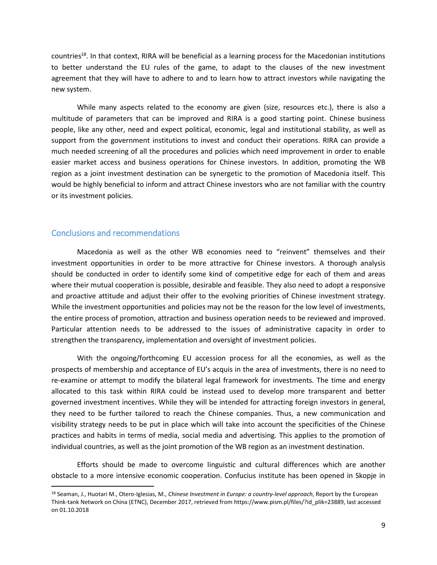countries<sup>18</sup>. In that context, RIRA will be beneficial as a learning process for the Macedonian institutions to better understand the EU rules of the game, to adapt to the clauses of the new investment agreement that they will have to adhere to and to learn how to attract investors while navigating the new system.

While many aspects related to the economy are given (size, resources etc.), there is also a multitude of parameters that can be improved and RIRA is a good starting point. Chinese business people, like any other, need and expect political, economic, legal and institutional stability, as well as support from the government institutions to invest and conduct their operations. RIRA can provide a much needed screening of all the procedures and policies which need improvement in order to enable easier market access and business operations for Chinese investors. In addition, promoting the WB region as a joint investment destination can be synergetic to the promotion of Macedonia itself. This would be highly beneficial to inform and attract Chinese investors who are not familiar with the country or its investment policies.

# Conclusions and recommendations

l

Macedonia as well as the other WB economies need to "reinvent" themselves and their investment opportunities in order to be more attractive for Chinese investors. A thorough analysis should be conducted in order to identify some kind of competitive edge for each of them and areas where their mutual cooperation is possible, desirable and feasible. They also need to adopt a responsive and proactive attitude and adjust their offer to the evolving priorities of Chinese investment strategy. While the investment opportunities and policies may not be the reason for the low level of investments, the entire process of promotion, attraction and business operation needs to be reviewed and improved. Particular attention needs to be addressed to the issues of administrative capacity in order to strengthen the transparency, implementation and oversight of investment policies.

With the ongoing/forthcoming EU accession process for all the economies, as well as the prospects of membership and acceptance of EU's acquis in the area of investments, there is no need to re-examine or attempt to modify the bilateral legal framework for investments. The time and energy allocated to this task within RIRA could be instead used to develop more transparent and better governed investment incentives. While they will be intended for attracting foreign investors in general, they need to be further tailored to reach the Chinese companies. Thus, a new communication and visibility strategy needs to be put in place which will take into account the specificities of the Chinese practices and habits in terms of media, social media and advertising. This applies to the promotion of individual countries, as well as the joint promotion of the WB region as an investment destination.

Efforts should be made to overcome linguistic and cultural differences which are another obstacle to a more intensive economic cooperation. Confucius institute has been opened in Skopje in

<sup>18</sup> Seaman, J., Huotari M., Otero-Iglesias, M., *Chinese Investment in Europe: a country-level approach*, Report by the European Think-tank Network on China (ETNC), December 2017, retrieved from [https://www.pism.pl/files/?id\\_plik=23889,](https://www.pism.pl/files/?id_plik=23889) last accessed on 01.10.2018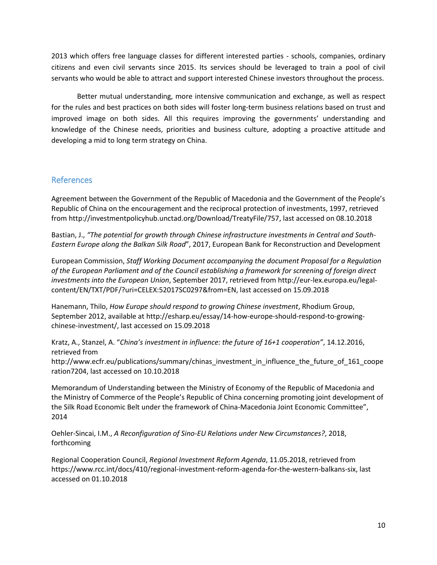2013 which offers free language classes for different interested parties - schools, companies, ordinary citizens and even civil servants since 2015. Its services should be leveraged to train a pool of civil servants who would be able to attract and support interested Chinese investors throughout the process.

Better mutual understanding, more intensive communication and exchange, as well as respect for the rules and best practices on both sides will foster long-term business relations based on trust and improved image on both sides. All this requires improving the governments' understanding and knowledge of the Chinese needs, priorities and business culture, adopting a proactive attitude and developing a mid to long term strategy on China.

# References

Agreement between the Government of the Republic of Macedonia and the Government of the People's Republic of China on the encouragement and the reciprocal protection of investments, 1997, retrieved from [http://investmentpolicyhub.unctad.org/Download/TreatyFile/757,](http://investmentpolicyhub.unctad.org/Download/TreatyFile/757) last accessed on 08.10.2018

Bastian, J., "The potential for growth through Chinese infrastructure investments in Central and South-*Eastern Europe along the Balkan Silk Road*", 2017, European Bank for Reconstruction and Development

European Commission, *Staff Working Document accompanying the document Proposal for a Regulation of the European Parliament and of the Council establishing a framework for screening of foreign direct investments into the European Union*, September 2017, retrieved from http://eur-lex.europa.eu/legalcontent/EN/TXT/PDF/?uri=CELEX:52017SC0297&from=EN, last accessed on 15.09.2018

Hanemann, Thilo, *How Europe should respond to growing Chinese investment*, Rhodium Group, September 2012, available at [http://esharp.eu/essay/14-how-europe-should-respond-to-growing](http://esharp.eu/essay/14-how-europe-should-respond-to-growing-chinese-investment/)[chinese-investment/,](http://esharp.eu/essay/14-how-europe-should-respond-to-growing-chinese-investment/) last accessed on 15.09.2018

Kratz, A., Stanzel, A. "*China's investment in influence: the future of 16+1 cooperation"*, 14.12.2016, retrieved from

[http://www.ecfr.eu/publications/summary/chinas\\_investment\\_in\\_influence\\_the\\_future\\_of\\_161\\_coope](http://www.ecfr.eu/publications/summary/chinas_investment_in_influence_the_future_of_161_cooperation7204) [ration7204,](http://www.ecfr.eu/publications/summary/chinas_investment_in_influence_the_future_of_161_cooperation7204) last accessed on 10.10.2018

Memorandum of Understanding between the Ministry of Economy of the Republic of Macedonia and the Ministry of Commerce of the People's Republic of China concerning promoting joint development of the Silk Road Economic Belt under the framework of China-Macedonia Joint Economic Committee", 2014

Oehler-Sincai, I.M., *A Reconfiguration of Sino-EU Relations under New Circumstances?*, 2018, forthcoming

Regional Cooperation Council, *Regional Investment Reform Agenda*, 11.05.2018, retrieved from [https://www.rcc.int/docs/410/regional-investment-reform-agenda-for-the-western-balkans-six,](https://www.rcc.int/docs/410/regional-investment-reform-agenda-for-the-western-balkans-six) last accessed on 01.10.2018